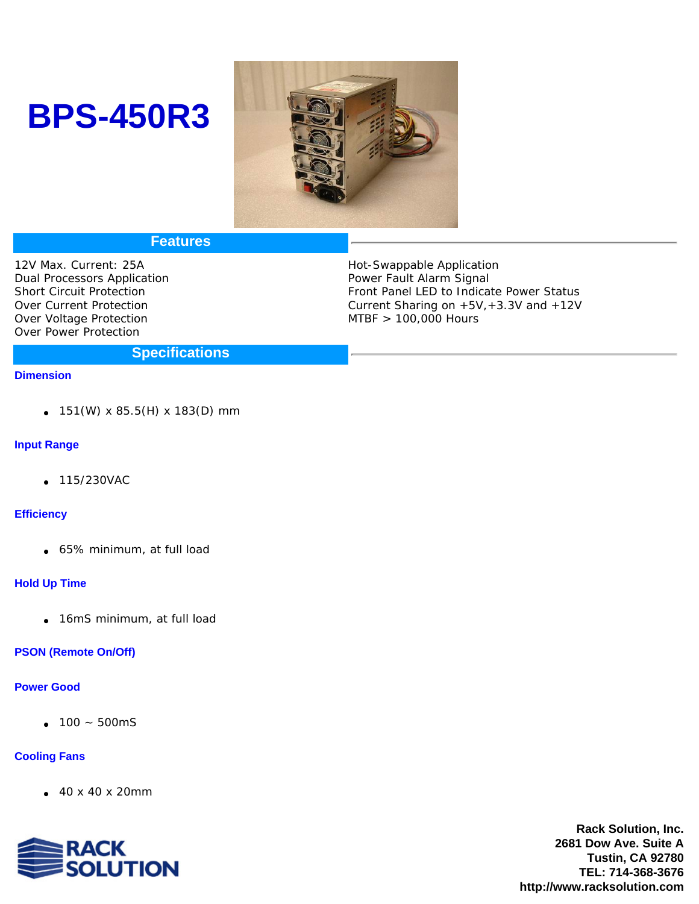# **BPS-450R3**



## **Features**

12V Max. Current: 25A Dual Processors Application Short Circuit Protection Over Current Protection Over Voltage Protection Over Power Protection

Hot-Swappable Application Power Fault Alarm Signal Front Panel LED to Indicate Power Status Current Sharing on +5V,+3.3V and +12V MTBF > 100,000 Hours

## **Specifications**

#### **Dimension**

151(W) x 85.5(H) x 183(D) mm

#### **Input Range**

115/230VAC

#### **Efficiency**

65% minimum, at full load

#### **Hold Up Time**

16mS minimum, at full load

## **PSON (Remote On/Off)**

#### **Power Good**

100 ~ 500mS

### **Cooling Fans**

40 x 40 x 20mm



**Rack Solution, Inc. 2681 Dow Ave. Suite A Tustin, CA 92780 TEL: 714-368-3676 http://www.racksolution.com**